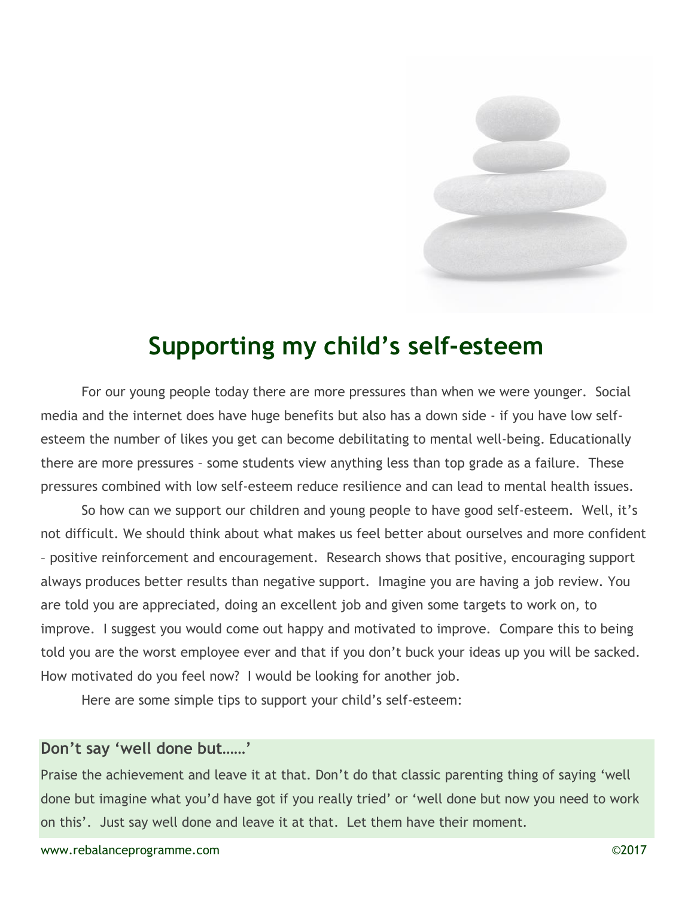

# Supporting my child's self-esteem

For our young people today there are more pressures than when we were younger. Social media and the internet does have huge benefits but also has a down side - if you have low selfesteem the number of likes you get can become debilitating to mental well-being. Educationally there are more pressures – some students view anything less than top grade as a failure. These pressures combined with low self-esteem reduce resilience and can lead to mental health issues.

So how can we support our children and young people to have good self-esteem. Well, it's not difficult. We should think about what makes us feel better about ourselves and more confident – positive reinforcement and encouragement. Research shows that positive, encouraging support always produces better results than negative support. Imagine you are having a job review. You are told you are appreciated, doing an excellent job and given some targets to work on, to improve. I suggest you would come out happy and motivated to improve. Compare this to being told you are the worst employee ever and that if you don't buck your ideas up you will be sacked. How motivated do you feel now? I would be looking for another job.

Here are some simple tips to support your child's self-esteem:

#### Don't say 'well done but……'

Praise the achievement and leave it at that. Don't do that classic parenting thing of saying 'well done but imagine what you'd have got if you really tried' or 'well done but now you need to work on this'. Just say well done and leave it at that. Let them have their moment.